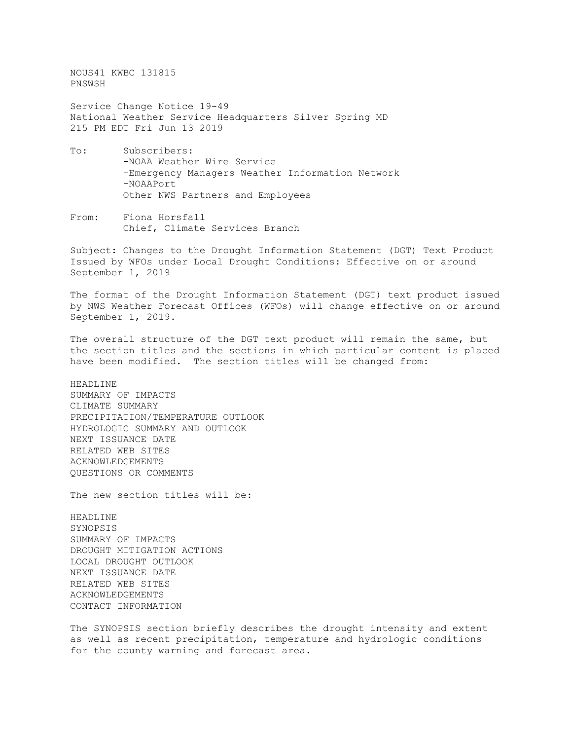NOUS41 KWBC 131815 PNSWSH Service Change Notice 19-49 National Weather Service Headquarters Silver Spring MD 215 PM EDT Fri Jun 13 2019 To: Subscribers: -NOAA Weather Wire Service -Emergency Managers Weather Information Network -NOAAPort Other NWS Partners and Employees From: Fiona Horsfall Chief, Climate Services Branch Subject: Changes to the Drought Information Statement (DGT) Text Product Issued by WFOs under Local Drought Conditions: Effective on or around September 1, 2019 The format of the Drought Information Statement (DGT) text product issued by NWS Weather Forecast Offices (WFOs) will change effective on or around September 1, 2019. The overall structure of the DGT text product will remain the same, but the section titles and the sections in which particular content is placed have been modified. The section titles will be changed from: HEADLINE SUMMARY OF IMPACTS CLIMATE SUMMARY PRECIPITATION/TEMPERATURE OUTLOOK HYDROLOGIC SUMMARY AND OUTLOOK NEXT ISSUANCE DATE RELATED WEB SITES ACKNOWLEDGEMENTS QUESTIONS OR COMMENTS The new section titles will be: HEADLINE SYNOPSIS SUMMARY OF IMPACTS DROUGHT MITIGATION ACTIONS LOCAL DROUGHT OUTLOOK NEXT ISSUANCE DATE RELATED WEB SITES ACKNOWLEDGEMENTS CONTACT INFORMATION The SYNOPSIS section briefly describes the drought intensity and extent as well as recent precipitation, temperature and hydrologic conditions

for the county warning and forecast area.